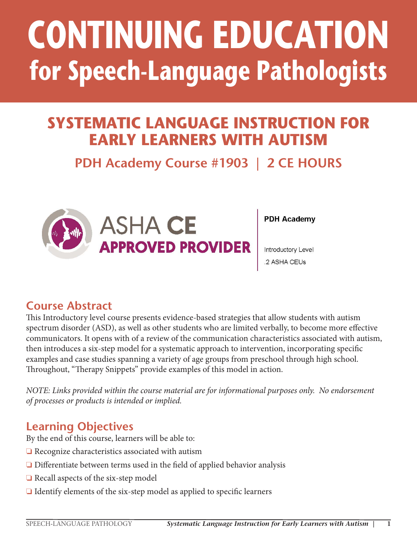# **CONTINUING EDUCATION for Speech-Language Pathologists**

# **SYSTEMATIC LANGUAGE INSTRUCTION FOR EARLY LEARNERS WITH AUTISM**

# **PDH Academy Course #1903 | 2 CE HOURS**



**PDH Academy** 

Introductory Level 2 ASHA CEUs

### **Course Abstract**

This Introductory level course presents evidence-based strategies that allow students with autism spectrum disorder (ASD), as well as other students who are limited verbally, to become more effective communicators. It opens with of a review of the communication characteristics associated with autism, then introduces a six-step model for a systematic approach to intervention, incorporating specific examples and case studies spanning a variety of age groups from preschool through high school. Throughout, "Therapy Snippets" provide examples of this model in action.

This course is offered for .2 ASHA CEUs (Introductory level, Professional area).

*NOTE: Links provided within the course material are for informational purposes only. No endorsement of processes or products is intended or implied.*

### **Learning Objectives**

By the end of this course, learners will be able to:

- ❏ Recognize characteristics associated with autism
- ❏ Differentiate between terms used in the field of applied behavior analysis
- ❏ Recall aspects of the six-step model
- ❏ Identify elements of the six-step model as applied to specific learners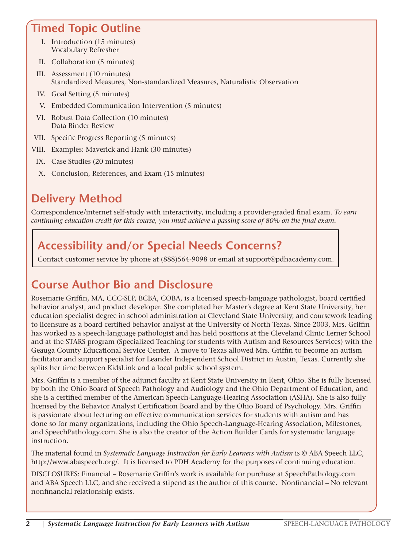### **Timed Topic Outline**

- I. Introduction (15 minutes) Vocabulary Refresher
- II. Collaboration (5 minutes)
- III. Assessment (10 minutes) Standardized Measures, Non-standardized Measures, Naturalistic Observation
- IV. Goal Setting (5 minutes)
- V. Embedded Communication Intervention (5 minutes)
- VI. Robust Data Collection (10 minutes) Data Binder Review
- VII. Specific Progress Reporting (5 minutes)
- VIII. Examples: Maverick and Hank (30 minutes)
	- IX. Case Studies (20 minutes)
	- X. Conclusion, References, and Exam (15 minutes)

### **Delivery Method**

Correspondence/internet self-study with interactivity, including a provider-graded final exam. *To earn continuing education credit for this course, you must achieve a passing score of 80% on the final exam.*

### **Accessibility and/or Special Needs Concerns?**

Contact customer service by phone at (888)564-9098 or email at support@pdhacademy.com.

### **Course Author Bio and Disclosure**

Rosemarie Griffin, MA, CCC-SLP, BCBA, COBA, is a licensed speech-language pathologist, board certified behavior analyst, and product developer. She completed her Master's degree at Kent State University, her education specialist degree in school administration at Cleveland State University, and coursework leading to licensure as a board certified behavior analyst at the University of North Texas. Since 2003, Mrs. Griffin has worked as a speech-language pathologist and has held positions at the Cleveland Clinic Lerner School and at the STARS program (Specialized Teaching for students with Autism and Resources Services) with the Geauga County Educational Service Center. A move to Texas allowed Mrs. Griffin to become an autism facilitator and support specialist for Leander Independent School District in Austin, Texas. Currently she splits her time between KidsLink and a local public school system.

Mrs. Griffin is a member of the adjunct faculty at Kent State University in Kent, Ohio. She is fully licensed by both the Ohio Board of Speech Pathology and Audiology and the Ohio Department of Education, and she is a certified member of the American Speech-Language-Hearing Association (ASHA). She is also fully licensed by the Behavior Analyst Certification Board and by the Ohio Board of Psychology. Mrs. Griffin is passionate about lecturing on effective communication services for students with autism and has done so for many organizations, including the Ohio Speech-Language-Hearing Association, Milestones, and SpeechPathology.com. She is also the creator of the Action Builder Cards for systematic language instruction.

The material found in *Systematic Language Instruction for Early Learners with Autism* is © ABA Speech LLC, http://www.abaspeech.org/. It is licensed to PDH Academy for the purposes of continuing education.

DISCLOSURES: Financial – Rosemarie Griffin's work is available for purchase at SpeechPathology.com and ABA Speech LLC, and she received a stipend as the author of this course. Nonfinancial – No relevant nonfinancial relationship exists.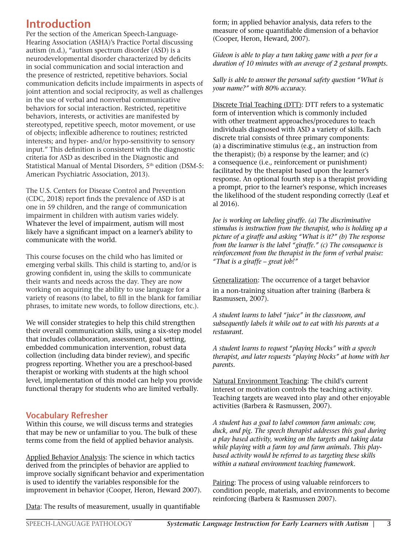### **Introduction**

Per the section of the American Speech-Language-Hearing Association (ASHA)'s Practice Portal discussing autism (n.d.), "autism spectrum disorder (ASD) is a neurodevelopmental disorder characterized by deficits in social communication and social interaction and the presence of restricted, repetitive behaviors. Social communication deficits include impairments in aspects of joint attention and social reciprocity, as well as challenges in the use of verbal and nonverbal communicative behaviors for social interaction. Restricted, repetitive behaviors, interests, or activities are manifested by stereotyped, repetitive speech, motor movement, or use of objects; inflexible adherence to routines; restricted interests; and hyper- and/or hypo-sensitivity to sensory input." This definition is consistent with the diagnostic criteria for ASD as described in the Diagnostic and Statistical Manual of Mental Disorders, 5<sup>th</sup> edition (DSM-5: American Psychiatric Association, 2013).

The U.S. Centers for Disease Control and Prevention (CDC, 2018) report finds the prevalence of ASD is at one in 59 children, and the range of communication impairment in children with autism varies widely. Whatever the level of impairment, autism will most likely have a significant impact on a learner's ability to communicate with the world.

This course focuses on the child who has limited or emerging verbal skills. This child is starting to, and/or is growing confident in, using the skills to communicate their wants and needs across the day. They are now working on acquiring the ability to use language for a variety of reasons (to label, to fill in the blank for familiar phrases, to imitate new words, to follow directions, etc.).

We will consider strategies to help this child strengthen their overall communication skills, using a six-step model that includes collaboration, assessment, goal setting, embedded communication intervention, robust data collection (including data binder review), and specific progress reporting. Whether you are a preschool-based therapist or working with students at the high school level, implementation of this model can help you provide functional therapy for students who are limited verbally.

#### **Vocabulary Refresher**

Within this course, we will discuss terms and strategies that may be new or unfamiliar to you. The bulk of these terms come from the field of applied behavior analysis.

Applied Behavior Analysis: The science in which tactics derived from the principles of behavior are applied to improve socially significant behavior and experimentation is used to identify the variables responsible for the improvement in behavior (Cooper, Heron, Heward 2007).

Data: The results of measurement, usually in quantifiable

form; in applied behavior analysis, data refers to the measure of some quantifiable dimension of a behavior (Cooper, Heron, Heward, 2007).

*Gideon is able to play a turn taking game with a peer for a duration of 10 minutes with an average of 2 gestural prompts.*

*Sally is able to answer the personal safety question "What is your name?" with 80% accuracy.* 

Discrete Trial Teaching (DTT): DTT refers to a systematic form of intervention which is commonly included with other treatment approaches/procedures to teach individuals diagnosed with ASD a variety of skills. Each discrete trial consists of three primary components: (a) a discriminative stimulus (e.g., an instruction from the therapist); (b) a response by the learner; and (c) a consequence (i.e., reinforcement or punishment) facilitated by the therapist based upon the learner's response. An optional fourth step is a therapist providing a prompt, prior to the learner's response, which increases the likelihood of the student responding correctly (Leaf et al 2016).

*Joe is working on labeling giraffe. (a) The discriminative stimulus is instruction from the therapist, who is holding up a picture of a giraffe and asking "What is it?" (b) The response from the learner is the label "giraffe." (c) The consequence is reinforcement from the therapist in the form of verbal praise: "That is a giraffe – great job!"*

Generalization: The occurrence of a target behavior in a non-training situation after training (Barbera & Rasmussen, 2007).

*A student learns to label "juice" in the classroom, and subsequently labels it while out to eat with his parents at a restaurant.*

*A student learns to request "playing blocks" with a speech therapist, and later requests "playing blocks" at home with her parents.*

Natural Environment Teaching: The child's current interest or motivation controls the teaching activity. Teaching targets are weaved into play and other enjoyable activities (Barbera & Rasmussen, 2007).

*A student has a goal to label common farm animals: cow, duck, and pig. The speech therapist addresses this goal during a play based activity, working on the targets and taking data while playing with a farm toy and farm animals. This playbased activity would be referred to as targeting these skills within a natural environment teaching framework.* 

Pairing: The process of using valuable reinforcers to condition people, materials, and environments to become reinforcing (Barbera & Rasmussen 2007).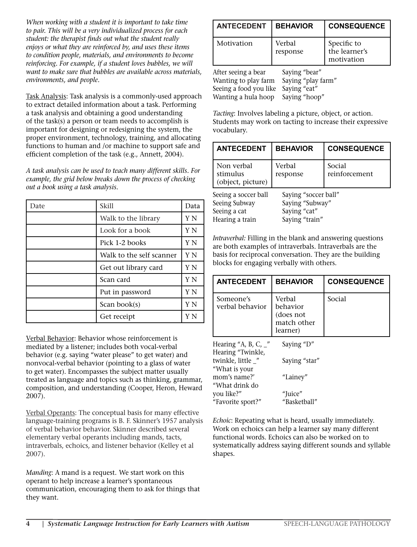*When working with a student it is important to take time to pair. This will be a very individualized process for each student: the therapist finds out what the student really enjoys or what they are reinforced by, and uses these items to condition people, materials, and environments to become reinforcing. For example, if a student loves bubbles, we will want to make sure that bubbles are available across materials, environments, and people.* 

Task Analysis: Task analysis is a commonly-used approach to extract detailed information about a task. Performing a task analysis and obtaining a good understanding of the task(s) a person or team needs to accomplish is important for designing or redesigning the system, the proper environment, technology, training, and allocating functions to human and /or machine to support safe and efficient completion of the task (e.g., Annett, 2004).

*A task analysis can be used to teach many different skills. For example, the grid below breaks down the process of checking out a book using a task analysis.* 

| Date | Skill                    | Data |
|------|--------------------------|------|
|      | Walk to the library      | Y N  |
|      | Look for a book          | Y N  |
|      | Pick 1-2 books           | Y N  |
|      | Walk to the self scanner | Y N  |
|      | Get out library card     | Y N  |
|      | Scan card                | Y N  |
|      | Put in password          | Y N  |
|      | Scan book(s)             | Y N  |
|      | Get receipt              |      |

Verbal Behavior: Behavior whose reinforcement is mediated by a listener; includes both vocal-verbal behavior (e.g. saying "water please" to get water) and nonvocal-verbal behavior (pointing to a glass of water to get water). Encompasses the subject matter usually treated as language and topics such as thinking, grammar, composition, and understanding (Cooper, Heron, Heward 2007).

Verbal Operants: The conceptual basis for many effective language-training programs is B. F. Skinner's 1957 analysis of verbal behavior behavior. Skinner described several elementary verbal operants including mands, tacts, intraverbals, echoics, and listener behavior (Kelley et al 2007).

*Manding*: A mand is a request. We start work on this operant to help increase a learner's spontaneous communication, encouraging them to ask for things that they want.

| <b>ANTECEDENT</b>                                                                            | <b>BEHAVIOR</b>                                                      | <b>CONSEQUENCE</b>                         |
|----------------------------------------------------------------------------------------------|----------------------------------------------------------------------|--------------------------------------------|
| Motivation                                                                                   | Verbal<br>response                                                   | Specific to<br>the learner's<br>motivation |
| After seeing a bear<br>Wanting to play farm<br>Seeing a food you like<br>Wanting a hula hoop | Saying "bear"<br>Saying "play farm"<br>Saying "eat"<br>Saying "hoop" |                                            |

*Tacting*: Involves labeling a picture, object, or action. Students may work on tacting to increase their expressive vocabulary.

| <b>ANTECEDENT</b>                           | <b>BEHAVIOR</b>      | <b>CONSEQUENCE</b>      |
|---------------------------------------------|----------------------|-------------------------|
| Non verbal<br>stimulus<br>(object, picture) | Verbal<br>response   | Social<br>reinforcement |
| Seeing a soccer ball                        | Saying "soccer ball" |                         |
| Seeing Subway                               | Saying "Subway"      |                         |
| Seeing a cat                                | Saying "cat"         |                         |
| Hearing a train                             | Saying "train"       |                         |

*Intraverbal:* Filling in the blank and answering questions are both examples of intraverbals. Intraverbals are the basis for reciprocal conversation. They are the building blocks for engaging verbally with others.

| <b>ANTECEDENT</b>                                      | <b>BEHAVIOR</b>                                            | <b>CONSEQUENCE</b> |
|--------------------------------------------------------|------------------------------------------------------------|--------------------|
| Someone's<br>verbal behavior                           | Verbal<br>behavior<br>(does not<br>match other<br>learner) | Social             |
| Hearing "A, B, C, $\frac{1}{2}$ "<br>Hearing "Twinkle, | Saying "D"                                                 |                    |
| twinkle, little _"<br>"What is your                    | Saying "star"                                              |                    |
| mom's name?'<br>"What drink do                         | "Lainey"                                                   |                    |
| you like?"<br>"Favorite sport?"                        | "Juice"<br>"Basketball"                                    |                    |

*Echoic*: Repeating what is heard, usually immediately. Work on echoics can help a learner say many different functional words. Echoics can also be worked on to systematically address saying different sounds and syllable shapes.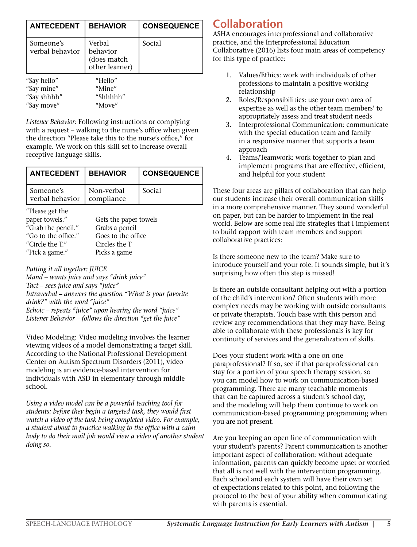| <b>ANTECEDENT</b>                                      | <b>BEHAVIOR</b>                                     | <b>CONSEQUENCE</b> |
|--------------------------------------------------------|-----------------------------------------------------|--------------------|
| Someone's<br>verbal behavior                           | Verbal<br>behavior<br>(does match<br>other learner) | Social             |
| "Say hello"<br>"Say mine"<br>"Say shhhh"<br>"Say move" | "Hello"<br>"Mine"<br>"Shhhhh"<br>"Move"             |                    |

*Listener Behavior:* Following instructions or complying with a request – walking to the nurse's office when given the direction "Please take this to the nurse's office," for example. We work on this skill set to increase overall receptive language skills.

| <b>LANTECEDENT</b>           | <b>BEHAVIOR</b>          | CONSEQUENCE |
|------------------------------|--------------------------|-------------|
| Someone's<br>verbal behavior | Non-verbal<br>compliance | Social      |

"Please get the

| paper towels."      | Gets the paper towels |
|---------------------|-----------------------|
| "Grab the pencil."  | Grabs a pencil        |
| "Go to the office." | Goes to the office.   |
| "Circle the $T''$   | Circles the T         |
| "Pick a game."      | Picks a game          |

#### *Putting it all together: JUICE*

*Mand – wants juice and says "drink juice" Tact – sees juice and says "juice" Intraverbal – answers the question "What is your favorite drink?" with the word "juice" Echoic – repeats "juice" upon hearing the word "juice" Listener Behavior – follows the direction "get the juice"*

Video Modeling: Video modeling involves the learner viewing videos of a model demonstrating a target skill. According to the National Professional Development Center on Autism Spectrum Disorders (2011), video modeling is an evidence-based intervention for individuals with ASD in elementary through middle school.

*Using a video model can be a powerful teaching tool for students: before they begin a targeted task, they would first watch a video of the task being completed video. For example, a student about to practice walking to the office with a calm body to do their mail job would view a video of another student doing so.*

### **Collaboration**

ASHA encourages interprofessional and collaborative practice, and the Interprofessional Education Collaborative (2016) lists four main areas of competency for this type of practice:

- 1. Values/Ethics: work with individuals of other professions to maintain a positive working relationship
- 2. Roles/Responsibilities: use your own area of expertise as well as the other team members' to appropriately assess and treat student needs
- 3. Interprofessional Communication: communicate with the special education team and family in a responsive manner that supports a team approach
- 4. Teams/Teamwork: work together to plan and implement programs that are effective, efficient, and helpful for your student

These four areas are pillars of collaboration that can help our students increase their overall communication skills in a more comprehensive manner. They sound wonderful on paper, but can be harder to implement in the real world. Below are some real life strategies that I implement to build rapport with team members and support collaborative practices:

Is there someone new to the team? Make sure to introduce yourself and your role. It sounds simple, but it's surprising how often this step is missed!

Is there an outside consultant helping out with a portion of the child's intervention? Often students with more complex needs may be working with outside consultants or private therapists. Touch base with this person and review any recommendations that they may have. Being able to collaborate with these professionals is key for continuity of services and the generalization of skills.

Does your student work with a one on one paraprofessional? If so, see if that paraprofessional can stay for a portion of your speech therapy session, so you can model how to work on communication-based programming. There are many teachable moments that can be captured across a student's school day, and the modeling will help them continue to work on communication-based programming programming when you are not present.

Are you keeping an open line of communication with your student's parents? Parent communication is another important aspect of collaboration: without adequate information, parents can quickly become upset or worried that all is not well with the intervention programming. Each school and each system will have their own set of expectations related to this point, and following the protocol to the best of your ability when communicating with parents is essential.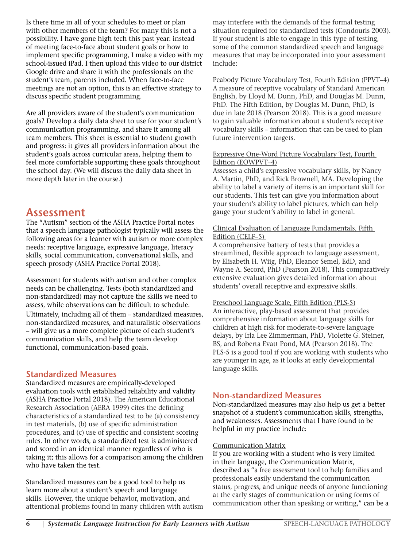Is there time in all of your schedules to meet or plan with other members of the team? For many this is not a possibility. I have gone high tech this past year: instead of meeting face-to-face about student goals or how to implement specific programming, I make a video with my school-issued iPad. I then upload this video to our district Google drive and share it with the professionals on the student's team, parents included. When face-to-face meetings are not an option, this is an effective strategy to discuss specific student programming.

Are all providers aware of the student's communication goals? Develop a daily data sheet to use for your student's communication programming, and share it among all team members. This sheet is essential to student growth and progress: it gives all providers information about the student's goals across curricular areas, helping them to feel more comfortable supporting these goals throughout the school day. (We will discuss the daily data sheet in more depth later in the course.)

### **Assessment**

The "Autism" section of the ASHA Practice Portal notes that a speech language pathologist typically will assess the following areas for a learner with autism or more complex needs: receptive language, expressive language, literacy skills, social communication, conversational skills, and speech prosody (ASHA Practice Portal 2018).

Assessment for students with autism and other complex needs can be challenging. Tests (both standardized and non-standardized) may not capture the skills we need to assess, while observations can be difficult to schedule. Ultimately, including all of them – standardized measures, non-standardized measures, and naturalistic observations – will give us a more complete picture of each student's communication skills, and help the team develop functional, communication-based goals.

#### **Standardized Measures**

Standardized measures are empirically-developed evaluation tools with established reliability and validity (ASHA Practice Portal 2018). The American Educational Research Association (AERA 1999) cites the defining characteristics of a standardized test to be (a) consistency in test materials, (b) use of specific administration procedures, and (c) use of specific and consistent scoring rules. In other words, a standardized test is administered and scored in an identical manner regardless of who is taking it; this allows for a comparison among the children who have taken the test.

Standardized measures can be a good tool to help us learn more about a student's speech and language skills. However, the unique behavior, motivation, and attentional problems found in many children with autism may interfere with the demands of the formal testing situation required for standardized tests (Condouris 2003). If your student is able to engage in this type of testing, some of the common standardized speech and language measures that may be incorporated into your assessment include:

Peabody Picture Vocabulary Test, Fourth Edition (PPVT–4) A measure of receptive vocabulary of Standard American English, by Lloyd M. Dunn, PhD, and Douglas M. Dunn, PhD. The Fifth Edition, by Douglas M. Dunn, PhD, is due in late 2018 (Pearson 2018). This is a good measure to gain valuable information about a student's receptive vocabulary skills – information that can be used to plan future intervention targets.

#### Expressive One-Word Picture Vocabulary Test, Fourth Edition (EOWPVT–4)

Assesses a child's expressive vocabulary skills, by Nancy A. Martin, PhD, and Rick Brownell, MA. Developing the ability to label a variety of items is an important skill for our students. This test can give you information about your student's ability to label pictures, which can help gauge your student's ability to label in general.

#### Clinical Evaluation of Language Fundamentals, Fifth Edition (CELF–5)

A comprehensive battery of tests that provides a streamlined, flexible approach to language assessment, by Elisabeth H. Wiig, PhD, Eleanor Semel, EdD, and Wayne A. Secord, PhD (Pearson 2018). This comparatively extensive evaluation gives detailed information about students' overall receptive and expressive skills.

#### Preschool Language Scale, Fifth Edition (PLS-5)

An interactive, play-based assessment that provides comprehensive information about language skills for children at high risk for moderate-to-severe language delays, by Irla Lee Zimmerman, PhD, Violette G. Steiner, BS, and Roberta Evatt Pond, MA (Pearson 2018). The PLS-5 is a good tool if you are working with students who are younger in age, as it looks at early developmental language skills.

#### **Non-standardized Measures**

Non-standardized measures may also help us get a better snapshot of a student's communication skills, strengths, and weaknesses. Assessments that I have found to be helpful in my practice include:

#### Communication Matrix

If you are working with a student who is very limited in their language, the Communication Matrix, described as "a free assessment tool to help families and professionals easily understand the communication status, progress, and unique needs of anyone functioning at the early stages of communication or using forms of communication other than speaking or writing," can be a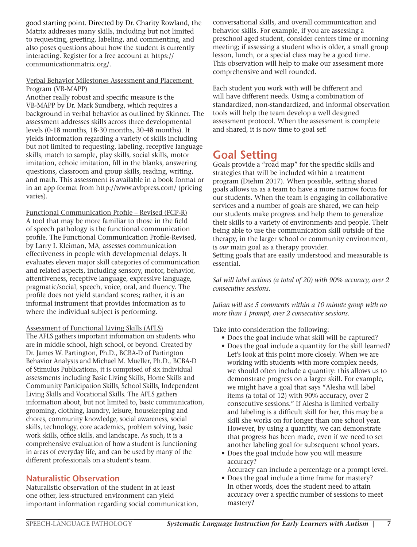good starting point. Directed by Dr. Charity Rowland, the Matrix addresses many skills, including but not limited to requesting, greeting, labeling, and commenting, and also poses questions about how the student is currently interacting. Register for a free account at https:// communicationmatrix.org/.

#### Verbal Behavior Milestones Assessment and Placement Program (VB-MAPP)

Another really robust and specific measure is the VB-MAPP by Dr. Mark Sundberg, which requires a background in verbal behavior as outlined by Skinner. The assessment addresses skills across three developmental levels (0-18 months, 18-30 months, 30-48 months). It yields information regarding a variety of skills including but not limited to requesting, labeling, receptive language skills, match to sample, play skills, social skills, motor imitation, echoic imitation, fill in the blanks, answering questions, classroom and group skills, reading, writing, and math. This assessment is available in a book format or in an app format from http://www.avbpress.com/ (pricing varies).

Functional Communication Profile – Revised (FCP-R) A tool that may be more familiar to those in the field of speech pathology is the functional communication profile. The Functional Communication Profile-Revised, by Larry I. Kleiman, MA, assesses communication effectiveness in people with developmental delays. It evaluates eleven major skill categories of communication and related aspects, including sensory, motor, behavior, attentiveness, receptive language, expressive language, pragmatic/social, speech, voice, oral, and fluency. The profile does not yield standard scores; rather, it is an informal instrument that provides information as to where the individual subject is performing.

#### Assessment of Functional Living Skills (AFLS)

The AFLS gathers important information on students who are in middle school, high school, or beyond. Created by Dr. James W. Partington, Ph.D., BCBA-D of Partington Behavior Analysts and Michael M. Mueller, Ph.D., BCBA-D of Stimulus Publications, it is comprised of six individual assessments including Basic Living Skills, Home Skills and Community Participation Skills, School Skills, Independent Living Skills and Vocational Skills. The AFLS gathers information about, but not limited to, basic communication, grooming, clothing, laundry, leisure, housekeeping and chores, community knowledge, social awareness, social skills, technology, core academics, problem solving, basic work skills, office skills, and landscape. As such, it is a comprehensive evaluation of how a student is functioning in areas of everyday life, and can be used by many of the different professionals on a student's team.

#### **Naturalistic Observation**

Naturalistic observation of the student in at least one other, less-structured environment can yield important information regarding social communication, conversational skills, and overall communication and behavior skills. For example, if you are assessing a preschool aged student, consider centers time or morning meeting; if assessing a student who is older, a small group lesson, lunch, or a special class may be a good time. This observation will help to make our assessment more comprehensive and well rounded.

Each student you work with will be different and will have different needs. Using a combination of standardized, non-standardized, and informal observation tools will help the team develop a well designed assessment protocol. When the assessment is complete and shared, it is now time to goal set!

### **Goal Setting**

Goals provide a "road map" for the specific skills and strategies that will be included within a treatment program (Diehm 2017). When possible, setting shared goals allows us as a team to have a more narrow focus for our students. When the team is engaging in collaborative services and a number of goals are shared, we can help our students make progress and help them to generalize their skills to a variety of environments and people. Their being able to use the communication skill outside of the therapy, in the larger school or community environment, is *our* main goal as a therapy provider.

Setting goals that are easily understood and measurable is essential.

*Sal will label actions (a total of 20) with 90% accuracy, over 2 consecutive sessions.*

*Julian will use 5 comments within a 10 minute group with no more than 1 prompt, over 2 consecutive sessions.* 

Take into consideration the following:

- Does the goal include what skill will be captured?
- Does the goal include a quantity for the skill learned? Let's look at this point more closely. When we are working with students with more complex needs, we should often include a quantity: this allows us to demonstrate progress on a larger skill. For example, we might have a goal that says "Alesha will label items (a total of 12) with 90% accuracy, over 2 consecutive sessions." If Alesha is limited verbally and labeling is a difficult skill for her, this may be a skill she works on for longer than one school year. However, by using a quantity, we can demonstrate that progress has been made, even if we need to set another labeling goal for subsequent school years.
- Does the goal include how you will measure accuracy?
- Accuracy can include a percentage or a prompt level.
- Does the goal include a time frame for mastery? In other words, does the student need to attain accuracy over a specific number of sessions to meet mastery?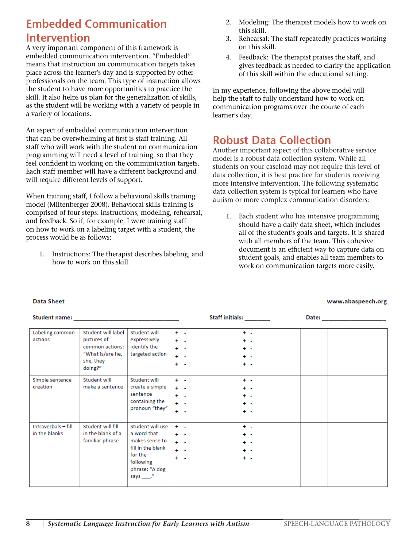### **Embedded Communication Intervention**

A very important component of this framework is embedded communication intervention. "Embedded" means that instruction on communication targets takes place across the learner's day and is supported by other professionals on the team. This type of instruction allows the student to have more opportunities to practice the skill. It also helps us plan for the generalization of skills, as the student will be working with a variety of people in a variety of locations.

An aspect of embedded communication intervention that can be overwhelming at first is staff training. All staff who will work with the student on communication programming will need a level of training, so that they feel confident in working on the communication targets. Each staff member will have a different background and will require different levels of support.

When training staff, I follow a behavioral skills training model (Miltenberger 2008). Behavioral skills training is comprised of four steps: instructions, modeling, rehearsal, and feedback. So if, for example, I were training staff on how to work on a labeling target with a student, the process would be as follows:

1. Instructions: The therapist describes labeling, and how to work on this skill.

- 2. Modeling: The therapist models how to work on this skill.
- 3. Rehearsal: The staff repeatedly practices working on this skill.
- 4. Feedback: The therapist praises the staff, and gives feedback as needed to clarify the application of this skill within the educational setting.

In my experience, following the above model will help the staff to fully understand how to work on communication programs over the course of each learner's day.

### **Robust Data Collection**

Another important aspect of this collaborative service model is a robust data collection system. While all students on your caseload may not require this level of data collection, it is best practice for students receiving more intensive intervention. The following systematic data collection system is typical for learners who have autism or more complex communication disorders:

1. Each student who has intensive programming should have a daily data sheet, which includes all of the student's goals and targets. It is shared with all members of the team. This cohesive document is an efficient way to capture data on student goals, and enables all team members to work on communication targets more easily.

 $B = 4.4$ 

#### **Data Sheet**

#### Children was all

#### www.abaspeech.org

| Student name:                        |                                                                                                  |                                                                                                                             | <u>ətali initials:</u>                                                         | Date: The contract of the contract of the contract of the contract of the contract of the contract of the contract of the contract of the contract of the contract of the contract of the contract of the contract of the cont |
|--------------------------------------|--------------------------------------------------------------------------------------------------|-----------------------------------------------------------------------------------------------------------------------------|--------------------------------------------------------------------------------|--------------------------------------------------------------------------------------------------------------------------------------------------------------------------------------------------------------------------------|
| Labeling common<br>actions           | Student will label<br>pictures of<br>common actions:<br>"What is/are he,<br>she, they<br>doing?" | Student will<br>expressively<br>identify the<br>targeted action                                                             | $+ -$<br>÷ -<br>÷ -<br>٠.<br>$+ -$<br>÷ -<br>$+ -$<br>$+ -$<br>$+ -$<br>÷ -    |                                                                                                                                                                                                                                |
| Simple sentence<br>creation          | Student will<br>make a sentence                                                                  | Student will<br>create a simple<br>sentence<br>containing the<br>pronoun "they"                                             | $+ -$<br>۰.<br>÷ -<br>$+ -$<br>$+ -$<br>÷ -<br>$+ -$<br>. .<br>÷ -<br>$+ -$    |                                                                                                                                                                                                                                |
| Intraverbals - fill<br>in the blanks | Student will fill<br>in the blank of a<br>familiar phrase                                        | Student will use<br>a word that<br>makes sense to<br>fill in the blank<br>for the<br>following<br>phrase: "A dog<br>says ." | $+ -$<br>$+ -$<br>$+ -$<br>. .<br>$+ -$<br>$+ -$<br>$+ -$<br>. .<br>÷ -<br>÷ - |                                                                                                                                                                                                                                |

**CALLES SUSANIAL**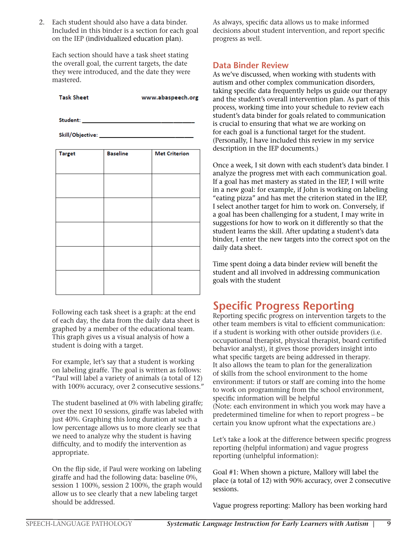2. Each student should also have a data binder. Included in this binder is a section for each goal on the IEP (individualized education plan).

Each section should have a task sheet stating the overall goal, the current targets, the date they were introduced, and the date they were mastered.

| <b>Task Sheet</b> | www.abaspeech.org |
|-------------------|-------------------|
|                   |                   |

| <b>Target</b> | <b>Baseline</b> | <b>Met Criterion</b> |
|---------------|-----------------|----------------------|
|               |                 |                      |
|               |                 |                      |
|               |                 |                      |
|               |                 |                      |
|               |                 |                      |
|               |                 |                      |
|               |                 |                      |
|               |                 |                      |
|               |                 |                      |
|               |                 |                      |
|               |                 |                      |
|               |                 |                      |
|               |                 |                      |

Following each task sheet is a graph: at the end of each day, the data from the daily data sheet is graphed by a member of the educational team. This graph gives us a visual analysis of how a student is doing with a target.

For example, let's say that a student is working on labeling giraffe. The goal is written as follows: "Paul will label a variety of animals (a total of 12) with 100% accuracy, over 2 consecutive sessions."

The student baselined at 0% with labeling giraffe; over the next 10 sessions, giraffe was labeled with just 40%. Graphing this long duration at such a low percentage allows us to more clearly see that we need to analyze why the student is having difficulty, and to modify the intervention as appropriate.

On the flip side, if Paul were working on labeling giraffe and had the following data: baseline 0%, session 1 100%, session 2 100%, the graph would allow us to see clearly that a new labeling target should be addressed.

As always, specific data allows us to make informed decisions about student intervention, and report specific progress as well.

#### **Data Binder Review**

As we've discussed, when working with students with autism and other complex communication disorders, taking specific data frequently helps us guide our therapy and the student's overall intervention plan. As part of this process, working time into your schedule to review each student's data binder for goals related to communication is crucial to ensuring that what we are working on for each goal is a functional target for the student. (Personally, I have included this review in my service description in the IEP documents.)

Once a week, I sit down with each student's data binder. I analyze the progress met with each communication goal. If a goal has met mastery as stated in the IEP, I will write in a new goal: for example, if John is working on labeling "eating pizza" and has met the criterion stated in the IEP, I select another target for him to work on. Conversely, if a goal has been challenging for a student, I may write in suggestions for how to work on it differently so that the student learns the skill. After updating a student's data binder, I enter the new targets into the correct spot on the daily data sheet.

Time spent doing a data binder review will benefit the student and all involved in addressing communication goals with the student

### **Specific Progress Reporting**

Reporting specific progress on intervention targets to the other team members is vital to efficient communication: if a student is working with other outside providers (i.e. occupational therapist, physical therapist, board certified behavior analyst), it gives those providers insight into what specific targets are being addressed in therapy. It also allows the team to plan for the generalization of skills from the school environment to the home environment: if tutors or staff are coming into the home to work on programming from the school environment, specific information will be helpful (Note: each environment in which you work may have a predetermined timeline for when to report progress – be certain you know upfront what the expectations are.)

Let's take a look at the difference between specific progress reporting (helpful information) and vague progress reporting (unhelpful information):

Goal #1: When shown a picture, Mallory will label the place (a total of 12) with 90% accuracy, over 2 consecutive sessions.

Vague progress reporting: Mallory has been working hard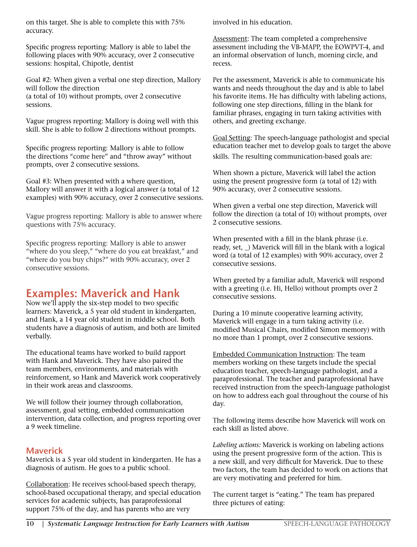on this target. She is able to complete this with 75% accuracy.

Specific progress reporting: Mallory is able to label the following places with 90% accuracy, over 2 consecutive sessions: hospital, Chipotle, dentist

Goal #2: When given a verbal one step direction, Mallory will follow the direction (a total of 10) without prompts, over 2 consecutive sessions.

Vague progress reporting: Mallory is doing well with this skill. She is able to follow 2 directions without prompts.

Specific progress reporting: Mallory is able to follow the directions "come here" and "throw away" without prompts, over 2 consecutive sessions.

Goal #3: When presented with a where question, Mallory will answer it with a logical answer (a total of 12 examples) with 90% accuracy, over 2 consecutive sessions.

Vague progress reporting: Mallory is able to answer where questions with 75% accuracy.

Specific progress reporting: Mallory is able to answer "where do you sleep," "where do you eat breakfast," and "where do you buy chips?" with 90% accuracy, over 2 consecutive sessions.

### **Examples: Maverick and Hank**

Now we'll apply the six-step model to two specific learners: Maverick, a 5 year old student in kindergarten, and Hank, a 14 year old student in middle school. Both students have a diagnosis of autism, and both are limited verbally.

The educational teams have worked to build rapport with Hank and Maverick. They have also paired the team members, environments, and materials with reinforcement, so Hank and Maverick work cooperatively in their work areas and classrooms.

We will follow their journey through collaboration, assessment, goal setting, embedded communication intervention, data collection, and progress reporting over a 9 week timeline.

#### **Maverick**

Maverick is a 5 year old student in kindergarten. He has a diagnosis of autism. He goes to a public school.

Collaboration: He receives school-based speech therapy, school-based occupational therapy, and special education services for academic subjects, has paraprofessional support 75% of the day, and has parents who are very

involved in his education.

Assessment: The team completed a comprehensive assessment including the VB-MAPP, the EOWPVT-4, and an informal observation of lunch, morning circle, and recess.

Per the assessment, Maverick is able to communicate his wants and needs throughout the day and is able to label his favorite items. He has difficulty with labeling actions, following one step directions, filling in the blank for familiar phrases, engaging in turn taking activities with others, and greeting exchange.

Goal Setting: The speech-language pathologist and special education teacher met to develop goals to target the above

skills. The resulting communication-based goals are:

When shown a picture, Maverick will label the action using the present progressive form (a total of 12) with 90% accuracy, over 2 consecutive sessions.

When given a verbal one step direction, Maverick will follow the direction (a total of 10) without prompts, over 2 consecutive sessions.

When presented with a fill in the blank phrase (i.e. ready, set, \_) Maverick will fill in the blank with a logical word (a total of 12 examples) with 90% accuracy, over 2 consecutive sessions.

When greeted by a familiar adult, Maverick will respond with a greeting (i.e. Hi, Hello) without prompts over 2 consecutive sessions.

During a 10 minute cooperative learning activity, Maverick will engage in a turn taking activity (i.e. modified Musical Chairs, modified Simon memory) with no more than 1 prompt, over 2 consecutive sessions.

Embedded Communication Instruction: The team members working on these targets include the special education teacher, speech-language pathologist, and a paraprofessional. The teacher and paraprofessional have received instruction from the speech-language pathologist on how to address each goal throughout the course of his day.

The following items describe how Maverick will work on each skill as listed above.

*Labeling actions:* Maverick is working on labeling actions using the present progressive form of the action. This is a new skill, and very difficult for Maverick. Due to these two factors, the team has decided to work on actions that are very motivating and preferred for him.

The current target is "eating." The team has prepared three pictures of eating: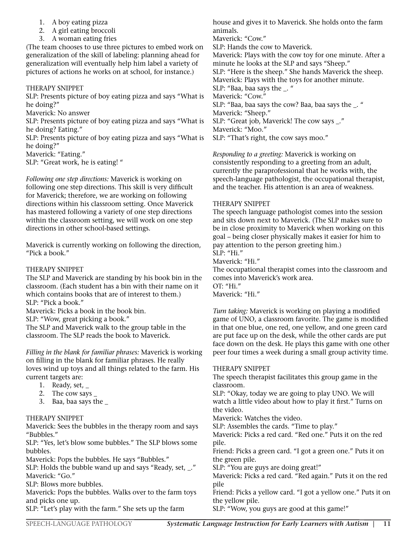- 1. A boy eating pizza
- 2. A girl eating broccoli
- 3. A woman eating fries

(The team chooses to use three pictures to embed work on generalization of the skill of labeling: planning ahead for generalization will eventually help him label a variety of pictures of actions he works on at school, for instance.)

#### THERAPY SNIPPET

SLP: Presents picture of boy eating pizza and says "What is he doing?"

Maverick: No answer

SLP: Presents picture of boy eating pizza and says "What is he doing? Eating."

SLP: Presents picture of boy eating pizza and says "What is he doing?"

Maverick: "Eating."

SLP: "Great work, he is eating! "

*Following one step directions:* Maverick is working on following one step directions. This skill is very difficult for Maverick; therefore, we are working on following directions within his classroom setting. Once Maverick has mastered following a variety of one step directions within the classroom setting, we will work on one step directions in other school-based settings.

Maverick is currently working on following the direction, "Pick a book."

#### THERAPY SNIPPET

The SLP and Maverick are standing by his book bin in the classroom. (Each student has a bin with their name on it which contains books that are of interest to them.) SLP: "Pick a book." Maverick: Picks a book in the book bin.

SLP: "Wow, great picking a book."

The SLP and Maverick walk to the group table in the classroom. The SLP reads the book to Maverick.

*Filling in the blank for familiar phrases:* Maverick is working on filling in the blank for familiar phrases. He really loves wind up toys and all things related to the farm. His current targets are:

- 1. Ready, set, \_
- 2. The cow says
- 3. Baa, baa says the \_

#### THERAPY SNIPPET

Maverick: Sees the bubbles in the therapy room and says "Bubbles."

SLP: "Yes, let's blow some bubbles." The SLP blows some bubbles.

Maverick: Pops the bubbles. He says "Bubbles."

SLP: Holds the bubble wand up and says "Ready, set, \_." Maverick: "Go."

SLP: Blows more bubbles.

Maverick: Pops the bubbles. Walks over to the farm toys and picks one up.

SLP: "Let's play with the farm." She sets up the farm

house and gives it to Maverick. She holds onto the farm animals.

Maverick: "Cow."

SLP: Hands the cow to Maverick.

Maverick: Plays with the cow toy for one minute. After a minute he looks at the SLP and says "Sheep."

SLP: "Here is the sheep." She hands Maverick the sheep. Maverick: Plays with the toys for another minute.

SLP: "Baa, baa says the \_. "

Maverick: "Cow."

SLP: "Baa, baa says the cow? Baa, baa says the \_. " Maverick: "Sheep."

SLP: "Great job, Maverick! The cow says \_."

Maverick: "Moo."

SLP: "That's right, the cow says moo."

*Responding to a greeting:* Maverick is working on consistently responding to a greeting from an adult, currently the paraprofessional that he works with, the speech-language pathologist, the occupational therapist, and the teacher. His attention is an area of weakness.

#### THERAPY SNIPPET

The speech language pathologist comes into the session and sits down next to Maverick. (The SLP makes sure to be in close proximity to Maverick when working on this goal – being closer physically makes it easier for him to pay attention to the person greeting him.)

SLP: "Hi." Maverick: "Hi."

The occupational therapist comes into the classroom and comes into Maverick's work area. OT: "Hi."

Maverick: "Hi."

*Turn taking:* Maverick is working on playing a modified game of UNO, a classroom favorite. The game is modified in that one blue, one red, one yellow, and one green card are put face up on the desk, while the other cards are put face down on the desk. He plays this game with one other peer four times a week during a small group activity time.

#### THERAPY SNIPPET

The speech therapist facilitates this group game in the classroom. SLP: "Okay, today we are going to play UNO. We will watch a little video about how to play it first." Turns on the video. Maverick: Watches the video. SLP: Assembles the cards. "Time to play." Maverick: Picks a red card. "Red one." Puts it on the red pile. Friend: Picks a green card. "I got a green one." Puts it on the green pile. SLP: "You are guys are doing great!" Maverick: Picks a red card. "Red again." Puts it on the red

pile Friend: Picks a yellow card. "I got a yellow one." Puts it on the yellow pile.

SLP: "Wow, you guys are good at this game!"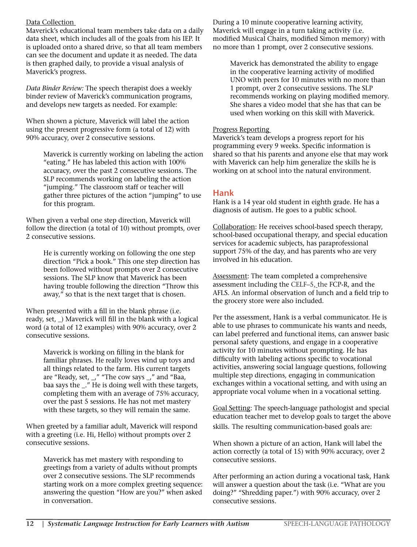#### Data Collection

Maverick's educational team members take data on a daily data sheet, which includes all of the goals from his IEP. It is uploaded onto a shared drive, so that all team members can see the document and update it as needed. The data is then graphed daily, to provide a visual analysis of Maverick's progress.

*Data Binder Review:* The speech therapist does a weekly binder review of Maverick's communication programs, and develops new targets as needed. For example:

When shown a picture, Maverick will label the action using the present progressive form (a total of 12) with 90% accuracy, over 2 consecutive sessions.

> Maverick is currently working on labeling the action "eating." He has labeled this action with 100% accuracy, over the past 2 consecutive sessions. The SLP recommends working on labeling the action "jumping." The classroom staff or teacher will gather three pictures of the action "jumping" to use for this program.

When given a verbal one step direction, Maverick will follow the direction (a total of 10) without prompts, over 2 consecutive sessions.

He is currently working on following the one step direction "Pick a book." This one step direction has been followed without prompts over 2 consecutive sessions. The SLP know that Maverick has been having trouble following the direction "Throw this away," so that is the next target that is chosen.

When presented with a fill in the blank phrase (i.e. ready, set, \_) Maverick will fill in the blank with a logical word (a total of 12 examples) with 90% accuracy, over 2 consecutive sessions.

Maverick is working on filling in the blank for familiar phrases. He really loves wind up toys and all things related to the farm. His current targets are "Ready, set, \_," "The cow says \_," and "Baa, baa says the \_." He is doing well with these targets, completing them with an average of 75% accuracy, over the past 5 sessions. He has not met mastery with these targets, so they will remain the same.

When greeted by a familiar adult, Maverick will respond with a greeting (i.e. Hi, Hello) without prompts over 2 consecutive sessions.

Maverick has met mastery with responding to greetings from a variety of adults without prompts over 2 consecutive sessions. The SLP recommends starting work on a more complex greeting sequence: answering the question "How are you?" when asked in conversation.

During a 10 minute cooperative learning activity, Maverick will engage in a turn taking activity (i.e. modified Musical Chairs, modified Simon memory) with no more than 1 prompt, over 2 consecutive sessions.

Maverick has demonstrated the ability to engage in the cooperative learning activity of modified UNO with peers for 10 minutes with no more than 1 prompt, over 2 consecutive sessions. The SLP recommends working on playing modified memory. She shares a video model that she has that can be used when working on this skill with Maverick.

#### Progress Reporting

Maverick's team develops a progress report for his programming every 9 weeks. Specific information is shared so that his parents and anyone else that may work with Maverick can help him generalize the skills he is working on at school into the natural environment.

#### **Hank**

Hank is a 14 year old student in eighth grade. He has a diagnosis of autism. He goes to a public school.

Collaboration: He receives school-based speech therapy, school-based occupational therapy, and special education services for academic subjects, has paraprofessional support 75% of the day, and has parents who are very involved in his education.

Assessment: The team completed a comprehensive assessment including the CELF–5, the FCP-R, and the AFLS. An informal observation of lunch and a field trip to the grocery store were also included.

Per the assessment, Hank is a verbal communicator. He is able to use phrases to communicate his wants and needs, can label preferred and functional items, can answer basic personal safety questions, and engage in a cooperative activity for 10 minutes without prompting. He has difficulty with labeling actions specific to vocational activities, answering social language questions, following multiple step directions, engaging in communication exchanges within a vocational setting, and with using an appropriate vocal volume when in a vocational setting.

Goal Setting: The speech-language pathologist and special education teacher met to develop goals to target the above skills. The resulting communication-based goals are:

When shown a picture of an action, Hank will label the action correctly (a total of 15) with 90% accuracy, over 2 consecutive sessions.

After performing an action during a vocational task, Hank will answer a question about the task (i.e. "What are you doing?" "Shredding paper.") with 90% accuracy, over 2 consecutive sessions.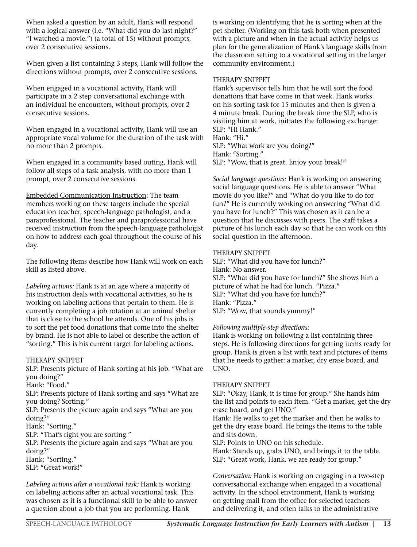When asked a question by an adult, Hank will respond with a logical answer (i.e. "What did you do last night?" "I watched a movie.") (a total of 15) without prompts, over 2 consecutive sessions.

When given a list containing 3 steps, Hank will follow the directions without prompts, over 2 consecutive sessions.

When engaged in a vocational activity, Hank will participate in a 2 step conversational exchange with an individual he encounters, without prompts, over 2 consecutive sessions.

When engaged in a vocational activity, Hank will use an appropriate vocal volume for the duration of the task with no more than 2 prompts.

When engaged in a community based outing, Hank will follow all steps of a task analysis, with no more than 1 prompt, over 2 consecutive sessions.

Embedded Communication Instruction: The team members working on these targets include the special education teacher, speech-language pathologist, and a paraprofessional. The teacher and paraprofessional have received instruction from the speech-language pathologist on how to address each goal throughout the course of his day.

The following items describe how Hank will work on each skill as listed above.

*Labeling actions:* Hank is at an age where a majority of his instruction deals with vocational activities, so he is working on labeling actions that pertain to them. He is currently completing a job rotation at an animal shelter that is close to the school he attends. One of his jobs is to sort the pet food donations that come into the shelter by brand. He is not able to label or describe the action of "sorting." This is his current target for labeling actions.

#### THERAPY SNIPPET

SLP: Presents picture of Hank sorting at his job. "What are you doing?"

Hank: "Food."

SLP: Presents picture of Hank sorting and says "What are you doing? Sorting."

SLP: Presents the picture again and says "What are you doing?"

Hank: "Sorting."

SLP: "That's right you are sorting."

SLP: Presents the picture again and says "What are you doing?" Hank: "Sorting."

SLP: "Great work!"

*Labeling actions after a vocational task:* Hank is working on labeling actions after an actual vocational task. This was chosen as it is a functional skill to be able to answer a question about a job that you are performing. Hank

is working on identifying that he is sorting when at the pet shelter. (Working on this task both when presented with a picture and when in the actual activity helps us plan for the generalization of Hank's language skills from the classroom setting to a vocational setting in the larger community environment.)

#### THERAPY SNIPPET

Hank's supervisor tells him that he will sort the food donations that have come in that week. Hank works on his sorting task for 15 minutes and then is given a 4 minute break. During the break time the SLP, who is visiting him at work, initiates the following exchange: SLP: "Hi Hank."

Hank: "Hi." SLP: "What work are you doing?" Hank: "Sorting." SLP: "Wow, that is great. Enjoy your break!"

*Social language questions:* Hank is working on answering social language questions. He is able to answer "What movie do you like?" and "What do you like to do for fun?" He is currently working on answering "What did you have for lunch?" This was chosen as it can be a question that he discusses with peers. The staff takes a picture of his lunch each day so that he can work on this social question in the afternoon.

#### THERAPY SNIPPET

SLP: "What did you have for lunch?" Hank: No answer. SLP: "What did you have for lunch?" She shows him a picture of what he had for lunch. "Pizza." SLP: "What did you have for lunch?" Hank: "Pizza." SLP: "Wow, that sounds yummy!"

#### *Following multiple-step directions:*

Hank is working on following a list containing three steps. He is following directions for getting items ready for group. Hank is given a list with text and pictures of items that he needs to gather: a marker, dry erase board, and UNO.

#### THERAPY SNIPPET

SLP: "Okay, Hank, it is time for group." She hands him the list and points to each item. "Get a marker, get the dry erase board, and get UNO."

Hank: He walks to get the marker and then he walks to get the dry erase board. He brings the items to the table and sits down.

SLP: Points to UNO on his schedule.

Hank: Stands up, grabs UNO, and brings it to the table. SLP: "Great work, Hank, we are ready for group."

*Conversation:* Hank is working on engaging in a two-step conversational exchange when engaged in a vocational activity. In the school environment, Hank is working on getting mail from the office for selected teachers and delivering it, and often talks to the administrative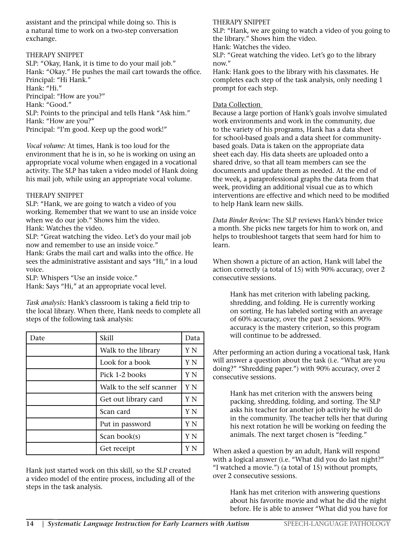assistant and the principal while doing so. This is a natural time to work on a two-step conversation exchange.

#### THERAPY SNIPPET

SLP: "Okay, Hank, it is time to do your mail job." Hank: "Okay." He pushes the mail cart towards the office. Principal: "Hi Hank." Hank: "Hi." Principal: "How are you?" Hank: "Good." SLP: Points to the principal and tells Hank "Ask him." Hank: "How are you?"

Principal: "I'm good. Keep up the good work!"

*Vocal volume:* At times, Hank is too loud for the environment that he is in, so he is working on using an appropriate vocal volume when engaged in a vocational activity. The SLP has taken a video model of Hank doing his mail job, while using an appropriate vocal volume.

#### THERAPY SNIPPET

SLP: "Hank, we are going to watch a video of you working. Remember that we want to use an inside voice when we do our job." Shows him the video. Hank: Watches the video.

SLP: "Great watching the video. Let's do your mail job now and remember to use an inside voice."

Hank: Grabs the mail cart and walks into the office. He sees the administrative assistant and says "Hi," in a loud voice.

SLP: Whispers "Use an inside voice." Hank: Says "Hi," at an appropriate vocal level.

*Task analysis:* Hank's classroom is taking a field trip to the local library. When there, Hank needs to complete all steps of the following task analysis:

| Date | Skill                    | Data |
|------|--------------------------|------|
|      | Walk to the library      | Y N  |
|      | Look for a book          | Y N  |
|      | Pick 1-2 books           | Y N  |
|      | Walk to the self scanner | Y N  |
|      | Get out library card     | Y N  |
|      | Scan card                | Y N  |
|      | Put in password          | Y N  |
|      | Scan book(s)             | Y N  |
|      | Get receipt              |      |

Hank just started work on this skill, so the SLP created a video model of the entire process, including all of the steps in the task analysis.

#### THERAPY SNIPPET

SLP: "Hank, we are going to watch a video of you going to the library." Shows him the video.

Hank: Watches the video.

SLP: "Great watching the video. Let's go to the library now."

Hank: Hank goes to the library with his classmates. He completes each step of the task analysis, only needing 1 prompt for each step.

#### Data Collection

Because a large portion of Hank's goals involve simulated work environments and work in the community, due to the variety of his programs, Hank has a data sheet for school-based goals and a data sheet for communitybased goals. Data is taken on the appropriate data sheet each day. His data sheets are uploaded onto a shared drive, so that all team members can see the documents and update them as needed. At the end of the week, a paraprofessional graphs the data from that week, providing an additional visual cue as to which interventions are effective and which need to be modified to help Hank learn new skills.

*Data Binder Review:* The SLP reviews Hank's binder twice a month. She picks new targets for him to work on, and helps to troubleshoot targets that seem hard for him to learn.

When shown a picture of an action, Hank will label the action correctly (a total of 15) with 90% accuracy, over 2 consecutive sessions.

Hank has met criterion with labeling packing, shredding, and folding. He is currently working on sorting. He has labeled sorting with an average of 60% accuracy, over the past 2 sessions. 90% accuracy is the mastery criterion, so this program will continue to be addressed.

After performing an action during a vocational task, Hank will answer a question about the task (i.e. "What are you doing?" "Shredding paper.") with 90% accuracy, over 2 consecutive sessions.

Hank has met criterion with the answers being packing, shredding, folding, and sorting. The SLP asks his teacher for another job activity he will do in the community. The teacher tells her that during his next rotation he will be working on feeding the animals. The next target chosen is "feeding."

When asked a question by an adult, Hank will respond with a logical answer (i.e. "What did you do last night?" "I watched a movie.") (a total of 15) without prompts, over 2 consecutive sessions.

Hank has met criterion with answering questions about his favorite movie and what he did the night before. He is able to answer "What did you have for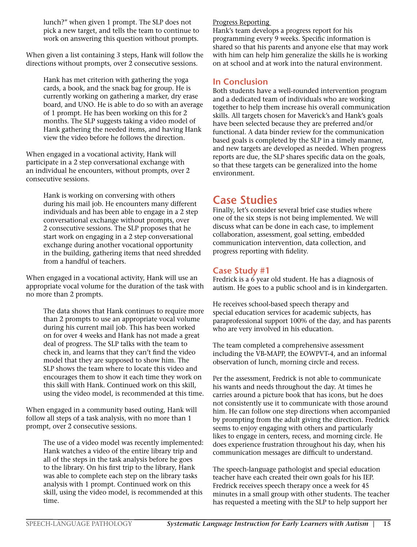lunch?" when given 1 prompt. The SLP does not pick a new target, and tells the team to continue to work on answering this question without prompts.

When given a list containing 3 steps, Hank will follow the directions without prompts, over 2 consecutive sessions.

Hank has met criterion with gathering the yoga cards, a book, and the snack bag for group. He is currently working on gathering a marker, dry erase board, and UNO. He is able to do so with an average of 1 prompt. He has been working on this for 2 months. The SLP suggests taking a video model of Hank gathering the needed items, and having Hank view the video before he follows the direction.

When engaged in a vocational activity, Hank will participate in a 2 step conversational exchange with an individual he encounters, without prompts, over 2 consecutive sessions.

> Hank is working on conversing with others during his mail job. He encounters many different individuals and has been able to engage in a 2 step conversational exchange without prompts, over 2 consecutive sessions. The SLP proposes that he start work on engaging in a 2 step conversational exchange during another vocational opportunity in the building, gathering items that need shredded from a handful of teachers.

When engaged in a vocational activity, Hank will use an appropriate vocal volume for the duration of the task with no more than 2 prompts.

The data shows that Hank continues to require more than 2 prompts to use an appropriate vocal volume during his current mail job. This has been worked on for over 4 weeks and Hank has not made a great deal of progress. The SLP talks with the team to check in, and learns that they can't find the video model that they are supposed to show him. The SLP shows the team where to locate this video and encourages them to show it each time they work on this skill with Hank. Continued work on this skill, using the video model, is recommended at this time.

When engaged in a community based outing, Hank will follow all steps of a task analysis, with no more than 1 prompt, over 2 consecutive sessions.

The use of a video model was recently implemented: Hank watches a video of the entire library trip and all of the steps in the task analysis before he goes to the library. On his first trip to the library, Hank was able to complete each step on the library tasks analysis with 1 prompt. Continued work on this skill, using the video model, is recommended at this time.

#### Progress Reporting

Hank's team develops a progress report for his programming every 9 weeks. Specific information is shared so that his parents and anyone else that may work with him can help him generalize the skills he is working on at school and at work into the natural environment.

#### **In Conclusion**

Both students have a well-rounded intervention program and a dedicated team of individuals who are working together to help them increase his overall communication skills. All targets chosen for Maverick's and Hank's goals have been selected because they are preferred and/or functional. A data binder review for the communication based goals is completed by the SLP in a timely manner, and new targets are developed as needed. When progress reports are due, the SLP shares specific data on the goals, so that these targets can be generalized into the home environment.

### **Case Studies**

Finally, let's consider several brief case studies where one of the six steps is not being implemented. We will discuss what can be done in each case, to implement collaboration, assessment, goal setting, embedded communication intervention, data collection, and progress reporting with fidelity.

#### **Case Study #1**

Fredrick is a 6 year old student. He has a diagnosis of autism. He goes to a public school and is in kindergarten.

He receives school-based speech therapy and special education services for academic subjects, has paraprofessional support 100% of the day, and has parents who are very involved in his education.

The team completed a comprehensive assessment including the VB-MAPP, the EOWPVT-4, and an informal observation of lunch, morning circle and recess.

Per the assessment, Fredrick is not able to communicate his wants and needs throughout the day. At times he carries around a picture book that has icons, but he does not consistently use it to communicate with those around him. He can follow one step directions when accompanied by prompting from the adult giving the direction. Fredrick seems to enjoy engaging with others and particularly likes to engage in centers, recess, and morning circle. He does experience frustration throughout his day, when his communication messages are difficult to understand.

The speech-language pathologist and special education teacher have each created their own goals for his IEP. Fredrick receives speech therapy once a week for 45 minutes in a small group with other students. The teacher has requested a meeting with the SLP to help support her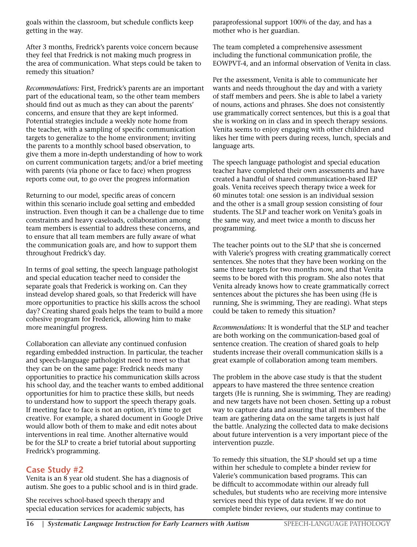goals within the classroom, but schedule conflicts keep getting in the way.

After 3 months, Fredrick's parents voice concern because they feel that Fredrick is not making much progress in the area of communication. What steps could be taken to remedy this situation?

*Recommendations:* First, Fredrick's parents are an important part of the educational team, so the other team members should find out as much as they can about the parents' concerns, and ensure that they are kept informed. Potential strategies include a weekly note home from the teacher, with a sampling of specific communication targets to generalize to the home environment; inviting the parents to a monthly school based observation, to give them a more in-depth understanding of how to work on current communication targets; and/or a brief meeting with parents (via phone or face to face) when progress reports come out, to go over the progress information

Returning to our model, specific areas of concern within this scenario include goal setting and embedded instruction. Even though it can be a challenge due to time constraints and heavy caseloads, collaboration among team members is essential to address these concerns, and to ensure that all team members are fully aware of what the communication goals are, and how to support them throughout Fredrick's day.

In terms of goal setting, the speech language pathologist and special education teacher need to consider the separate goals that Frederick is working on. Can they instead develop shared goals, so that Frederick will have more opportunities to practice his skills across the school day? Creating shared goals helps the team to build a more cohesive program for Frederick, allowing him to make more meaningful progress.

Collaboration can alleviate any continued confusion regarding embedded instruction. In particular, the teacher and speech-language pathologist need to meet so that they can be on the same page: Fredrick needs many opportunities to practice his communication skills across his school day, and the teacher wants to embed additional opportunities for him to practice these skills, but needs to understand how to support the speech therapy goals. If meeting face to face is not an option, it's time to get creative. For example, a shared document in Google Drive would allow both of them to make and edit notes about interventions in real time. Another alternative would be for the SLP to create a brief tutorial about supporting Fredrick's programming.

#### **Case Study #2**

Venita is an  $\overline{8}$  year old student. She has a diagnosis of autism. She goes to a public school and is in third grade.

She receives school-based speech therapy and special education services for academic subjects, has paraprofessional support 100% of the day, and has a mother who is her guardian.

The team completed a comprehensive assessment including the functional communication profile, the EOWPVT-4, and an informal observation of Venita in class.

Per the assessment, Venita is able to communicate her wants and needs throughout the day and with a variety of staff members and peers. She is able to label a variety of nouns, actions and phrases. She does not consistently use grammatically correct sentences, but this is a goal that she is working on in class and in speech therapy sessions. Venita seems to enjoy engaging with other children and likes her time with peers during recess, lunch, specials and language arts.

The speech language pathologist and special education teacher have completed their own assessments and have created a handful of shared communication-based IEP goals. Venita receives speech therapy twice a week for 60 minutes total: one session is an individual session and the other is a small group session consisting of four students. The SLP and teacher work on Venita's goals in the same way, and meet twice a month to discuss her programming.

The teacher points out to the SLP that she is concerned with Valerie's progress with creating grammatically correct sentences. She notes that they have been working on the same three targets for two months now, and that Venita seems to be bored with this program. She also notes that Venita already knows how to create grammatically correct sentences about the pictures she has been using (He is running, She is swimming, They are reading). What steps could be taken to remedy this situation?

*Recommendations:* It is wonderful that the SLP and teacher are both working on the communication-based goal of sentence creation. The creation of shared goals to help students increase their overall communication skills is a great example of collaboration among team members.

The problem in the above case study is that the student appears to have mastered the three sentence creation targets (He is running, She is swimming, They are reading) and new targets have not been chosen. Setting up a robust way to capture data and assuring that all members of the team are gathering data on the same targets is just half the battle. Analyzing the collected data to make decisions about future intervention is a very important piece of the intervention puzzle.

To remedy this situation, the SLP should set up a time within her schedule to complete a binder review for Valerie's communication based programs. This can be difficult to accommodate within our already full schedules, but students who are receiving more intensive services need this type of data review. If we do not complete binder reviews, our students may continue to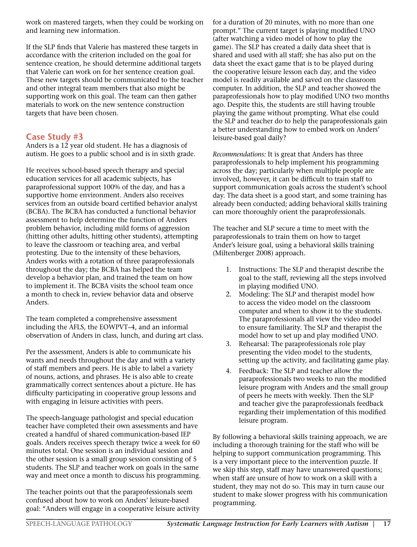work on mastered targets, when they could be working on and learning new information.

If the SLP finds that Valerie has mastered these targets in accordance with the criterion included on the goal for sentence creation, he should determine additional targets that Valerie can work on for her sentence creation goal. These new targets should be communicated to the teacher and other integral team members that also might be supporting work on this goal. The team can then gather materials to work on the new sentence construction targets that have been chosen.

#### **Case Study #3**

Anders is a 12 year old student. He has a diagnosis of autism. He goes to a public school and is in sixth grade.

He receives school-based speech therapy and special education services for all academic subjects, has paraprofessional support 100% of the day, and has a supportive home environment. Anders also receives services from an outside board certified behavior analyst (BCBA). The BCBA has conducted a functional behavior assessment to help determine the function of Anders problem behavior, including mild forms of aggression (hitting other adults, hitting other students), attempting to leave the classroom or teaching area, and verbal protesting. Due to the intensity of these behaviors, Anders works with a rotation of three paraprofessionals throughout the day; the BCBA has helped the team develop a behavior plan, and trained the team on how to implement it. The BCBA visits the school team once a month to check in, review behavior data and observe Anders.

The team completed a comprehensive assessment including the AFLS, the EOWPVT–4, and an informal observation of Anders in class, lunch, and during art class.

Per the assessment, Anders is able to communicate his wants and needs throughout the day and with a variety of staff members and peers. He is able to label a variety of nouns, actions, and phrases. He is also able to create grammatically correct sentences about a picture. He has difficulty participating in cooperative group lessons and with engaging in leisure activities with peers.

The speech-language pathologist and special education teacher have completed their own assessments and have created a handful of shared communication-based IEP goals. Anders receives speech therapy twice a week for 60 minutes total. One session is an individual session and the other session is a small group session consisting of 5 students. The SLP and teacher work on goals in the same way and meet once a month to discuss his programming.

The teacher points out that the paraprofessionals seem confused about how to work on Anders' leisure-based goal: "Anders will engage in a cooperative leisure activity for a duration of 20 minutes, with no more than one prompt." The current target is playing modified UNO (after watching a video model of how to play the game). The SLP has created a daily data sheet that is shared and used with all staff; she has also put on the data sheet the exact game that is to be played during the cooperative leisure lesson each day, and the video model is readily available and saved on the classroom computer. In addition, the SLP and teacher showed the paraprofessionals how to play modified UNO two months ago. Despite this, the students are still having trouble playing the game without prompting. What else could the SLP and teacher do to help the paraprofessionals gain a better understanding how to embed work on Anders' leisure-based goal daily?

*Recommendations:* It is great that Anders has three paraprofessionals to help implement his programming across the day; particularly when multiple people are involved, however, it can be difficult to train staff to support communication goals across the student's school day. The data sheet is a good start, and some training has already been conducted; adding behavioral skills training can more thoroughly orient the paraprofessionals.

The teacher and SLP secure a time to meet with the paraprofessionals to train them on how to target Ander's leisure goal, using a behavioral skills training (Miltenberger 2008) approach.

- 1. Instructions: The SLP and therapist describe the goal to the staff, reviewing all the steps involved in playing modified UNO.
- 2. Modeling: The SLP and therapist model how to access the video model on the classroom computer and when to show it to the students. The paraprofessionals all view the video model to ensure familiarity. The SLP and therapist the model how to set up and play modified UNO.
- 3. Rehearsal: The paraprofessionals role play presenting the video model to the students, setting up the activity, and facilitating game play.
- 4. Feedback: The SLP and teacher allow the paraprofessionals two weeks to run the modified leisure program with Anders and the small group of peers he meets with weekly. Then the SLP and teacher give the paraprofessionals feedback regarding their implementation of this modified leisure program.

By following a behavioral skills training approach, we are including a thorough training for the staff who will be helping to support communication programming. This is a very important piece to the intervention puzzle. If we skip this step, staff may have unanswered questions; when staff are unsure of how to work on a skill with a student, they may not do so. This may in turn cause our student to make slower progress with his communication programming.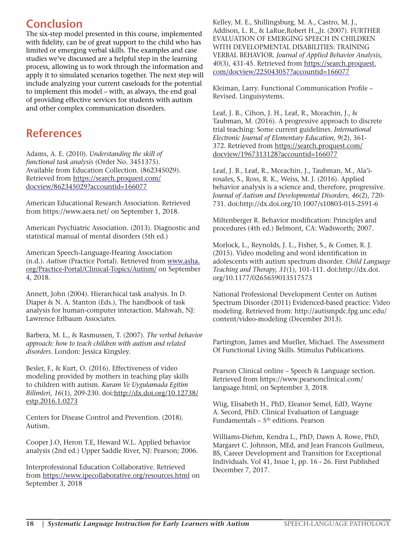### **Conclusion**

The six-step model presented in this course, implemented with fidelity, can be of great support to the child who has limited or emerging verbal skills. The examples and case studies we've discussed are a helpful step in the learning process, allowing us to work through the information and apply it to simulated scenarios together. The next step will include analyzing your current caseloads for the potential to implement this model – with, as always, the end goal of providing effective services for students with autism and other complex communication disorders.

### **References**

Adams, A. E. (2010). *Understanding the skill of functional task analysis* (Order No. 3451375). Available from Education Collection. (862345029). Retrieved from https://search.proquest.com/ docview/862345029?accountid=166077

American Educational Research Association. Retrieved from https://www.aera.net/ on September 1, 2018.

American Psychiatric Association. (2013). Diagnostic and statistical manual of mental disorders (5th ed.)

American Speech-Language-Hearing Association (n.d.). *Autism* (Practice Portal). Retrieved from www.asha. org/Practice-Portal/Clinical-Topics/Autism/ on September 4, 2018.

Annett, John (2004). Hierarchical task analysis. In D. Diaper & N. A. Stanton (Eds.), The handbook of task analysis for human-computer interaction. Mahwah, NJ: Lawrence Erlbaum Associates.

Barbera, M. L., & Rasmussen, T. (2007). *The verbal behavior approach: how to teach children with autism and related disorders*. London: Jessica Kingsley.

Besler, F., & Kurt, O. (2016). Effectiveness of video modeling provided by mothers in teaching play skills to children with autism. *Kuram Ve Uygulamada Egitim Bilimleri, 16*(1), 209-230. doi:http://dx.doi.org/10.12738/ estp.2016.1.0273

Centers for Disease Control and Prevention. (2018). Autism.

Cooper J.O, Heron T.E, Heward W.L. Applied behavior analysis (2nd ed.) Upper Saddle River, NJ: Pearson; 2006.

Interprofessional Education Collaborative. Retrieved from https://www.ipecollaborative.org/resources.html on September 3, 2018

Kelley, M. E., Shillingsburg, M. A., Castro, M. J., Addison, L. R., & LaRue,Robert H.,,Jr. (2007). FURTHER EVALUATION OF EMERGING SPEECH IN CHILDREN WITH DEVELOPMENTAL DISABILITIES: TRAINING VERBAL BEHAVIOR. *Journal of Applied Behavior Analysis, 40*(3), 431-45. Retrieved from https://search.proquest. com/docview/225043057?accountid=166077

Kleiman, Larry. Functional Communication Profile – Revised. Linguisystems.

Leaf, J. B., Cihon, J. H., Leaf, R., Mceachin, J., & Taubman, M. (2016). A progressive approach to discrete trial teaching: Some current guidelines. *International Electronic Journal of Elementary Education, 9*(2), 361- 372. Retrieved from https://search.proquest.com/ docview/1967313128?accountid=166077

Leaf, J. B., Leaf, R., Mceachin, J., Taubman, M., Ala'irosales, S., Ross, R. K., Weiss, M. J. (2016). Applied behavior analysis is a science and, therefore, progressive. *Journal of Autism and Developmental Disorders, 46*(2), 720- 731. doi:http://dx.doi.org/10.1007/s10803-015-2591-6

Miltenberger R. Behavior modification: Principles and procedures (4th ed.) Belmont, CA: Wadsworth; 2007.

Morlock, L., Reynolds, J. L., Fisher, S., & Comer, R. J. (2015). Video modeling and word identification in adolescents with autism spectrum disorder. *Child Language Teaching and Therapy, 31*(1), 101-111. doi:http://dx.doi. org/10.1177/0265659013517573

National Professional Development Center on Autism Spectrum Disorder (2011) Evidenced-based practice: Video modeling. Retrieved from: http://autismpdc.fpg.unc.edu/ content/video-modeling (December 2013).

Partington, James and Mueller, Michael. The Assessment Of Functional Living Skills. Stimulus Publications.

Pearson Clinical online – Speech & Language section. Retrieved from https://www.pearsonclinical.com/ language.html, on September 3, 2018.

Wiig, Elisabeth H., PhD, Eleanor Semel, EdD, Wayne A. Secord, PhD. Clinical Evaluation of Language Fundamentals –  $5<sup>th</sup>$  editions. Pearson

Williams-Diehm, Kendra L., PhD, Dawn A. Rowe, PhD, Margaret C. Johnson, MEd, and Jean Francois Guilmeus, BS, Career Development and Transition for Exceptional Individuals. Vol 41, Issue 1, pp. 16 - 26. First Published December 7, 2017.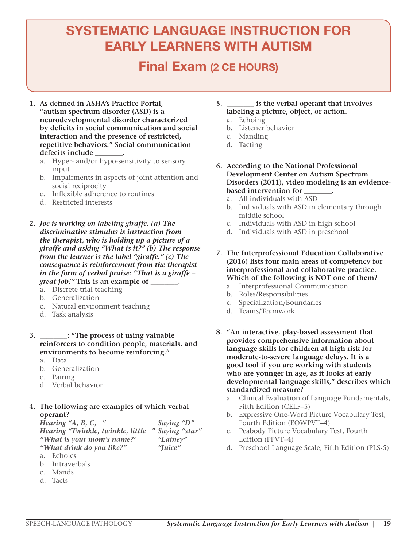# SYSTEMATIC LANGUAGE INSTRUCTION FOR EARLY LEARNERS WITH AUTISM

### Final Exam (2 CE HOURS)

- **1. As defined in ASHA's Practice Portal, "autism spectrum disorder (ASD) is a neurodevelopmental disorder characterized by deficits in social communication and social interaction and the presence of restricted, repetitive behaviors." Social communication defecits include \_\_\_\_\_\_\_\_.**
	- a. Hyper- and/or hypo-sensitivity to sensory input
	- b. Impairments in aspects of joint attention and social reciprocity
	- c. Inflexible adherence to routines
	- d. Restricted interests
- **2.** *Joe is working on labeling giraffe. (a) The discriminative stimulus is instruction from the therapist, who is holding up a picture of a giraffe and asking "What is it?" (b) The response from the learner is the label "giraffe." (c) The consequence is reinforcement from the therapist in the form of verbal praise: "That is a giraffe – great job!"* **This is an example of \_\_\_\_\_\_\_\_.**
	- a. Discrete trial teaching
	- b. Generalization
	- c. Natural environment teaching
	- d. Task analysis
- **3. \_\_\_\_\_\_\_\_: "The process of using valuable reinforcers to condition people, materials, and environments to become reinforcing."**
	- a. Data
	- b. Generalization
	- c. Pairing
	- d. Verbal behavior
- **4. The following are examples of which verbal operant?**

*Hearing "A, B, C, \_" Saying "D" Hearing "Twinkle, twinkle, little \_" Saying "star" "What is your mom's name?' "Lainey" "What drink do you like?" "Juice"*

- a. Echoics
- b. Intraverbals
- c. Mands
- d. Tacts
- **5. \_\_\_\_\_\_\_\_ is the verbal operant that involves labeling a picture, object, or action.**
	- a. Echoing
	- b. Listener behavior
	- c. Manding
	- d. Tacting
- **6. According to the National Professional Development Center on Autism Spectrum Disorders (2011), video modeling is an evidencebased intervention for \_\_\_\_\_\_\_\_.**
	- a. All individuals with ASD
	- b. Individuals with ASD in elementary through middle school
	- c. Individuals with ASD in high school
	- d. Individuals with ASD in preschool
- **7. The Interprofessional Education Collaborative (2016) lists four main areas of competency for interprofessional and collaborative practice. Which of the following is NOT one of them?**
	- a. Interprofessional Communication
	- b. Roles/Responsibilities
	- c. Specialization/Boundaries
	- d. Teams/Teamwork
- **8. "An interactive, play-based assessment that provides comprehensive information about language skills for children at high risk for moderate-to-severe language delays. It is a good tool if you are working with students who are younger in age, as it looks at early developmental language skills," describes which standardized measure?**
	- a. Clinical Evaluation of Language Fundamentals, Fifth Edition (CELF–5)
	- b. Expressive One-Word Picture Vocabulary Test, Fourth Edition (EOWPVT–4)
	- c. Peabody Picture Vocabulary Test, Fourth Edition (PPVT–4)
	- d. Preschool Language Scale, Fifth Edition (PLS-5)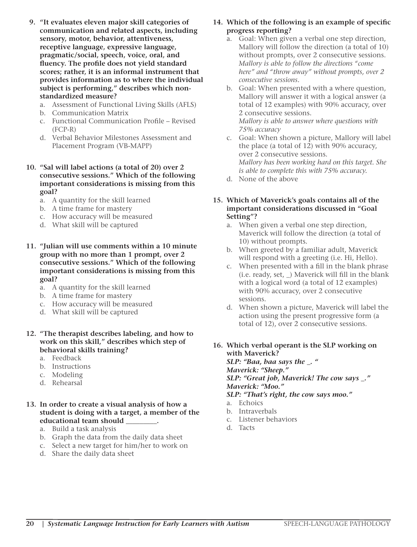- **9. "It evaluates eleven major skill categories of communication and related aspects, including sensory, motor, behavior, attentiveness, receptive language, expressive language, pragmatic/social, speech, voice, oral, and fluency. The profile does not yield standard scores; rather, it is an informal instrument that provides information as to where the individual subject is performing," describes which nonstandardized measure?**
	- a. Assessment of Functional Living Skills (AFLS)
	- b. Communication Matrix
	- c. Functional Communication Profile Revised (FCP-R)
	- d. Verbal Behavior Milestones Assessment and Placement Program (VB-MAPP)
- **10. "Sal will label actions (a total of 20) over 2 consecutive sessions." Which of the following important considerations is missing from this goal?**
	- a. A quantity for the skill learned
	- b. A time frame for mastery
	- c. How accuracy will be measured
	- d. What skill will be captured
- **11. "Julian will use comments within a 10 minute group with no more than 1 prompt, over 2 consecutive sessions." Which of the following important considerations is missing from this goal?**
	- a. A quantity for the skill learned
	- b. A time frame for mastery
	- c. How accuracy will be measured
	- d. What skill will be captured
- **12. "The therapist describes labeling, and how to work on this skill," describes which step of behavioral skills training?**
	- a. Feedback
	- b. Instructions
	- c. Modeling
	- d. Rehearsal
- **13. In order to create a visual analysis of how a student is doing with a target, a member of the educational team should \_\_\_\_\_\_\_\_\_.**
	- a. Build a task analysis
	- b. Graph the data from the daily data sheet
	- c. Select a new target for him/her to work on
	- d. Share the daily data sheet
- **14. Which of the following is an example of specific progress reporting?**
	- a. Goal: When given a verbal one step direction, Mallory will follow the direction (a total of 10) without prompts, over 2 consecutive sessions. *Mallory is able to follow the directions "come here" and "throw away" without prompts, over 2 consecutive sessions.*
	- b. Goal: When presented with a where question, Mallory will answer it with a logical answer (a total of 12 examples) with 90% accuracy, over 2 consecutive sessions. *Mallory is able to answer where questions with 75% accuracy*
	- c. Goal: When shown a picture, Mallory will label the place (a total of 12) with 90% accuracy, over 2 consecutive sessions. *Mallory has been working hard on this target. She is able to complete this with 75% accuracy.*
	- d. None of the above
- **15. Which of Maverick's goals contains all of the important considerations discussed in "Goal Setting"?**
	- a. When given a verbal one step direction, Maverick will follow the direction (a total of 10) without prompts.
	- b. When greeted by a familiar adult, Maverick will respond with a greeting (i.e. Hi, Hello).
	- c. When presented with a fill in the blank phrase (i.e. ready, set, \_) Maverick will fill in the blank with a logical word (a total of 12 examples) with 90% accuracy, over 2 consecutive sessions.
	- d. When shown a picture, Maverick will label the action using the present progressive form (a total of 12), over 2 consecutive sessions.
- **16. Which verbal operant is the SLP working on with Maverick?**  *SLP: "Baa, baa says the \_. " Maverick: "Sheep." SLP: "Great job, Maverick! The cow says \_." Maverick: "Moo."*

 *SLP: "That's right, the cow says moo."* 

- a. Echoics
- b. Intraverbals
- c. Listener behaviors
- d. Tacts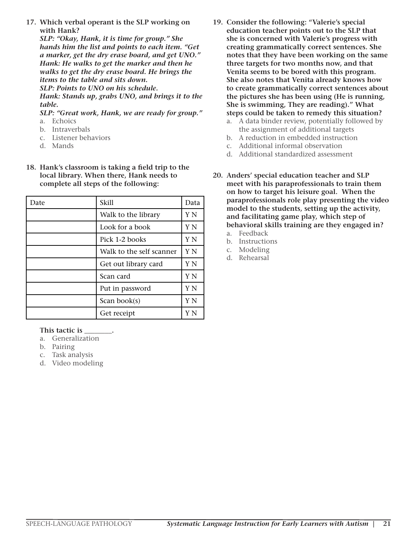**17. Which verbal operant is the SLP working on with Hank?**

 *SLP: "Okay, Hank, it is time for group." She hands him the list and points to each item. "Get a marker, get the dry erase board, and get UNO." Hank: He walks to get the marker and then he walks to get the dry erase board. He brings the items to the table and sits down. SLP: Points to UNO on his schedule. Hank: Stands up, grabs UNO, and brings it to the* 

*table.* 

 *SLP: "Great work, Hank, we are ready for group."* a. Echoics

- b. Intraverbals
- c. Listener behaviors
- d. Mands
- **18. Hank's classroom is taking a field trip to the local library. When there, Hank needs to complete all steps of the following:**

| Date | Skill                    | Data |
|------|--------------------------|------|
|      | Walk to the library      | Y N  |
|      | Look for a book          | Y N  |
|      | Pick 1-2 books           | Y N  |
|      | Walk to the self scanner | Y N  |
|      | Get out library card     | Y N  |
|      | Scan card                | Y N  |
|      | Put in password          | Y N  |
|      | Scan book(s)             | Y N  |
|      | Get receipt              | Y N  |

#### **This tactic is \_\_\_\_\_\_\_\_.**

- a. Generalization
- b. Pairing
- c. Task analysis
- d. Video modeling
- **19. Consider the following: "Valerie's special education teacher points out to the SLP that she is concerned with Valerie's progress with creating grammatically correct sentences. She notes that they have been working on the same three targets for two months now, and that Venita seems to be bored with this program. She also notes that Venita already knows how to create grammatically correct sentences about the pictures she has been using (He is running, She is swimming, They are reading)." What steps could be taken to remedy this situation?**
	- a. A data binder review, potentially followed by the assignment of additional targets
	- b. A reduction in embedded instruction
	- c. Additional informal observation
	- d. Additional standardized assessment
- **20. Anders' special education teacher and SLP meet with his paraprofessionals to train them on how to target his leisure goal. When the paraprofessionals role play presenting the video model to the students, setting up the activity, and facilitating game play, which step of behavioral skills training are they engaged in?** 
	- a. Feedback
	- b. Instructions
	- c. Modeling
	- d. Rehearsal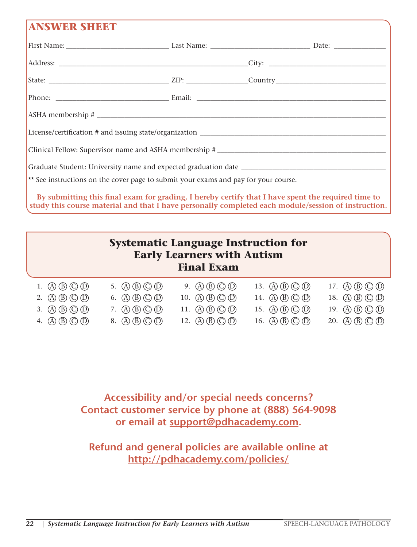### **ANSWER SHEET**

| ** See instructions on the cover page to submit your exams and pay for your course. |  |  |  |  |  |  |
|-------------------------------------------------------------------------------------|--|--|--|--|--|--|
|                                                                                     |  |  |  |  |  |  |

**By submitting this final exam for grading, I hereby certify that I have spent the required time to study this course material and that I have personally completed each module/session of instruction.**

| <b>Systematic Language Instruction for</b><br><b>Early Learners with Autism</b><br><b>Final Exam</b>           |                                                                                                                                                                                                                                                                      |                                                                                                   |                                                                                                                                     |                                                                                                                                   |  |  |  |  |  |
|----------------------------------------------------------------------------------------------------------------|----------------------------------------------------------------------------------------------------------------------------------------------------------------------------------------------------------------------------------------------------------------------|---------------------------------------------------------------------------------------------------|-------------------------------------------------------------------------------------------------------------------------------------|-----------------------------------------------------------------------------------------------------------------------------------|--|--|--|--|--|
| $\mathbb{A} \mathbb{B} \mathbb{C} \mathbb{O} \mathbb{D}$<br>$(A)$ $(B)$ $(C)$ $(D)$<br>$(A)$ $(B)$ $(C)$ $(D)$ | 5. $\left(\overline{A}\right)\left(\overline{B}\right)\left(\overline{C}\right)\left(\overline{D}\right)$<br>6. $\left(\overline{A}\right)\left(\overline{B}\right)\left(\overline{C}\right)\left(\overline{D}\right)$<br>$\mathbb{A}\mathbb{B}\mathbb{C}\mathbb{D}$ | $(A)$ $(B)$ $(C)$ $(D)$<br>9.<br>$(A)$ $(B)$ $(C)$ $(D)$<br>10.<br>$(A)$ $(B)$ $(C)$ $(D)$<br>11. | 13. $\mathbb{A}(\mathbb{B}(\mathbb{C})\mathbb{O})$<br>14. $\mathbb{(A)}\mathbb{(B)}\mathbb{(C)}\mathbb{(D)}$<br>15. (A) (B) (C) (D) | 17. $\mathbb{A}(\mathbb{B}(\mathbb{C})\mathbb{O})$<br>18. (A) $(B)$ $(C)$ $(D)$<br>19. $\mathbb{A}\mathbb{B}\mathbb{C}\mathbb{O}$ |  |  |  |  |  |
| $\sigma$ (B) $\prime$<br>4.<br>(A)                                                                             | $(A)$ $(B)$ $(C)$ $(D)$                                                                                                                                                                                                                                              | B)<br>12.<br>(A) (                                                                                | $(B)$ (C) (D)<br>16. (A)                                                                                                            | $(A)$ $(B)$ $(C)$ $(D)$<br>20.                                                                                                    |  |  |  |  |  |

**Accessibility and/or special needs concerns? Contact customer service by phone at (888) 564-9098 or email at support@pdhacademy.com.**

### **Refund and general policies are available online at http://pdhacademy.com/policies/**